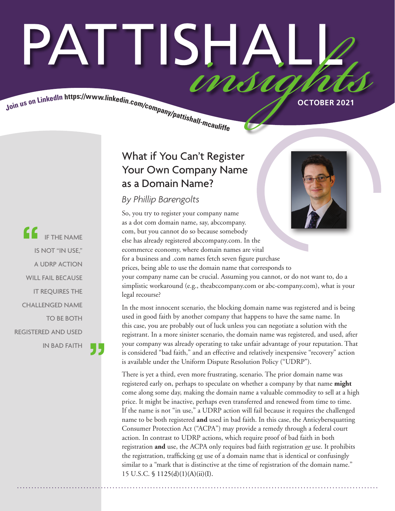# PATTISHA MSM

Join us on LinkedIn https://www.linkedin.com/company/pattishall-measures

IF THE NAME IS NOT "IN USE," A UDRP ACTION WILL FAIL BECAUSE IT REQUIRES THE CHALLENGED NAME TO BE BOTH REGISTERED AND USED IN BAD FAITH

# What if You Can't Register Your Own Company Name as a Domain Name?

# *By Phillip Barengolts*

So, you try to register your company name as a dot com domain name, say, abccompany. com, but you cannot do so because somebody else has already registered abccompany.com. In the ecommerce economy, where domain names are vital for a business and .com names fetch seven figure purchase prices, being able to use the domain name that corresponds to your company name can be crucial. Assuming you cannot, or do not want to, do a simplistic workaround (e.g., theabccompany.com or abc-company.com), what is your legal recourse?

In the most innocent scenario, the blocking domain name was registered and is being used in good faith by another company that happens to have the same name. In this case, you are probably out of luck unless you can negotiate a solution with the registrant. In a more sinister scenario, the domain name was registered, and used, after your company was already operating to take unfair advantage of your reputation. That is considered "bad faith," and an effective and relatively inexpensive "recovery" action is available under the Uniform Dispute Resolution Policy ("UDRP").

There is yet a third, even more frustrating, scenario. The prior domain name was registered early on, perhaps to speculate on whether a company by that name **might** come along some day, making the domain name a valuable commodity to sell at a high price. It might be inactive, perhaps even transferred and renewed from time to time. If the name is not "in use," a UDRP action will fail because it requires the challenged name to be both registered **and** used in bad faith. In this case, the Anticybersquatting Consumer Protection Act ("ACPA") may provide a remedy through a federal court action. In contrast to UDRP actions, which require proof of bad faith in both registration **and** use, the ACPA only requires bad faith registration *or* use. It prohibits the registration, trafficking or use of a domain name that is identical or confusingly similar to a "mark that is distinctive at the time of registration of the domain name." 15 U.S.C. § 1125(d)(1)(A)(ii)(I).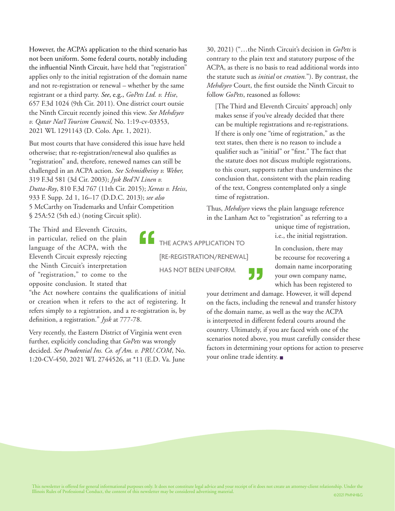However, the ACPA's application to the third scenario has not been uniform. Some federal courts, notably including the influential Ninth Circuit, have held that "registration" applies only to the initial registration of the domain name and not re-registration or renewal – whether by the same registrant or a third party. *See*, e.g., *GoPets Ltd. v. Hise*, 657 F.3d 1024 (9th Cir. 2011). One district court outsie the Ninth Circuit recently joined this view. *See Mehdiyev v. Qatar Nat'l Tourism Council,* No. 1:19-cv-03353, 2021 WL 1291143 (D. Colo. Apr. 1, 2021).

But most courts that have considered this issue have held otherwise; that re-registration/renewal also qualifies as "registration" and, therefore, renewed names can still be challenged in an ACPA action. *See Schmidheiny v. Weber,*  319 F.3d 581 (3d Cir. 2003); *Jysk Bed'N Linen v. Dutta-Roy*, 810 F.3d 767 (11th Cir. 2015); *Xereas v. Heiss*, 933 F. Supp. 2d 1, 16–17 (D.D.C. 2013); *see also*  5 McCarthy on Trademarks and Unfair Competition § 25A:52 (5th ed.) (noting Circuit split).

The Third and Eleventh Circuits, in particular, relied on the plain language of the ACPA, with the Eleventh Circuit expressly rejecting the Ninth Circuit's interpretation of "registration," to come to the opposite conclusion. It stated that

"the Act nowhere contains the qualifications of initial or creation when it refers to the act of registering. It refers simply to a registration, and a re-registration is, by definition, a registration." *Jysk* at 777-78.

Very recently, the Eastern District of Virginia went even further, explicitly concluding that *GoPets* was wrongly decided. *See Prudential Ins. Co. of Am. v. PRU.COM*, No. 1:20-CV-450, 2021 WL 2744526, at \*11 (E.D. Va. June

THE ACPA'S APPLICATION TO [RE-REGISTRATION/RENEWAL] HAS NOT BEEN UNIFORM.

30, 2021) ("…the Ninth Circuit's decision in *GoPets* is contrary to the plain text and statutory purpose of the ACPA, as there is no basis to read additional words into the statute such as *initial* or *creation.*"). By contrast, the *Mehdiyev* Court, the first outside the Ninth Circuit to follow *GoPets*, reasoned as follows:

[The Third and Eleventh Circuits' approach] only makes sense if you've already decided that there can be multiple registrations and re-registrations. If there is only one "time of registration," as the text states, then there is no reason to include a qualifier such as "initial" or "first." The fact that the statute does not discuss multiple registrations, to this court, supports rather than undermines the conclusion that, consistent with the plain reading of the text, Congress contemplated only a single time of registration.

Thus, *Mehdiyev* views the plain language reference in the Lanham Act to "registration" as referring to a

unique time of registration, i.e., the initial registration.

In conclusion, there may be recourse for recovering a domain name incorporating your own company name, which has been registered to

your detriment and damage. However, it will depend on the facts, including the renewal and transfer history of the domain name, as well as the way the ACPA is interpreted in different federal courts around the country. Ultimately, if you are faced with one of the scenarios noted above, you must carefully consider these factors in determining your options for action to preserve your online trade identity. ■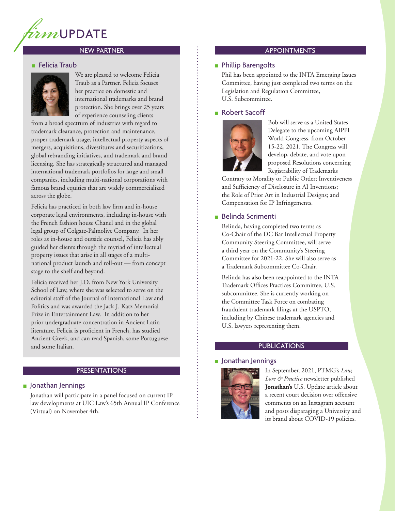

# NEW PARTNER

# **Felicia Traub**



We are pleased to welcome Felicia Traub as a Partner. Felicia focuses her practice on domestic and international trademarks and brand protection. She brings over 25 years of experience counseling clients

from a broad spectrum of industries with regard to trademark clearance, protection and maintenance, proper trademark usage, intellectual property aspects of mergers, acquisitions, divestitures and securitizations, global rebranding initiatives, and trademark and brand licensing. She has strategically structured and managed international trademark portfolios for large and small companies, including multi-national corporations with famous brand equities that are widely commercialized across the globe.

Felicia has practiced in both law firm and in-house corporate legal environments, including in-house with the French fashion house Chanel and in the global legal group of Colgate-Palmolive Company. In her roles as in-house and outside counsel, Felicia has ably guided her clients through the myriad of intellectual property issues that arise in all stages of a multinational product launch and roll-out — from concept stage to the shelf and beyond.

Felicia received her J.D. from New York University School of Law, where she was selected to serve on the editorial staff of the Journal of International Law and Politics and was awarded the Jack J. Katz Memorial Prize in Entertainment Law. In addition to her prior undergraduate concentration in Ancient Latin literature, Felicia is proficient in French, has studied Ancient Greek, and can read Spanish, some Portuguese and some Italian.

# PRESENTATIONS

# ■ Jonathan Jennings

Jonathan will participate in a panel focused on current IP law developments at UIC Law's 65th Annual IP Conference (Virtual) on November 4th.

#### APPOINTMENTS

# ■ Phillip Barengolts

Phil has been appointed to the INTA Emerging Issues Committee, having just completed two terms on the Legislation and Regulation Committee, U.S. Subcommittee.

#### ■ Robert Sacoff



Bob will serve as a United States Delegate to the upcoming AIPPI World Congress, from October 15-22, 2021. The Congress will develop, debate, and vote upon proposed Resolutions concerning Registrability of Trademarks

Contrary to Morality or Public Order; Inventiveness and Sufficiency of Disclosure in AI Inventions; the Role of Prior Art in Industrial Designs; and Compensation for IP Infringements.

# ■ Belinda Scrimenti

Belinda, having completed two terms as Co-Chair of the DC Bar Intellectual Property Community Steering Committee, will serve a third year on the Community's Steering Committee for 2021-22. She will also serve as a Trademark Subcommittee Co-Chair.

Belinda has also been reappointed to the INTA Trademark Offices Practices Committee, U.S. subcommittee. She is currently working on the Committee Task Force on combating fraudulent trademark filings at the USPTO, including by Chinese trademark agencies and U.S. lawyers representing them.

# PUBLICATIONS

# ■ Jonathan Jennings



In September, 2021, PTMG's *Law, Lore & Practice* newsletter published **Jonathan's** U.S. Update article about a recent court decision over offensive comments on an Instagram account and posts disparaging a University and its brand about COVID-19 policies.